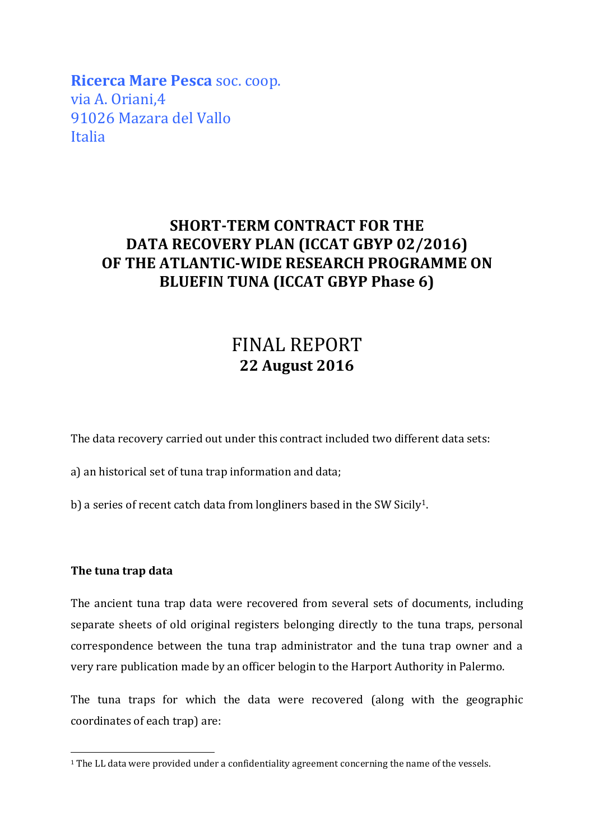**Ricerca Mare Pesca** soc. coop. via A. Oriani,4 91026 Mazara del Vallo Italia

## **SHORT-TERM CONTRACT FOR THE DATA RECOVERY PLAN (ICCAT GBYP 02/2016) OF THE ATLANTIC-WIDE RESEARCH PROGRAMME ON BLUEFIN TUNA (ICCAT GBYP Phase 6)**

## FINAL REPORT **22 August 2016**

The data recovery carried out under this contract included two different data sets:

a) an historical set of tuna trap information and data;

b) a series of recent catch data from longliners based in the SW Sicily<sup>1</sup>.

## **The tuna trap data**

The ancient tuna trap data were recovered from several sets of documents, including separate sheets of old original registers belonging directly to the tuna traps, personal correspondence between the tuna trap administrator and the tuna trap owner and a very rare publication made by an officer belogin to the Harport Authority in Palermo.

The tuna traps for which the data were recovered (along with the geographic coordinates of each trap) are:

<sup>&</sup>lt;sup>1</sup> The LL data were provided under a confidentiality agreement concerning the name of the vessels.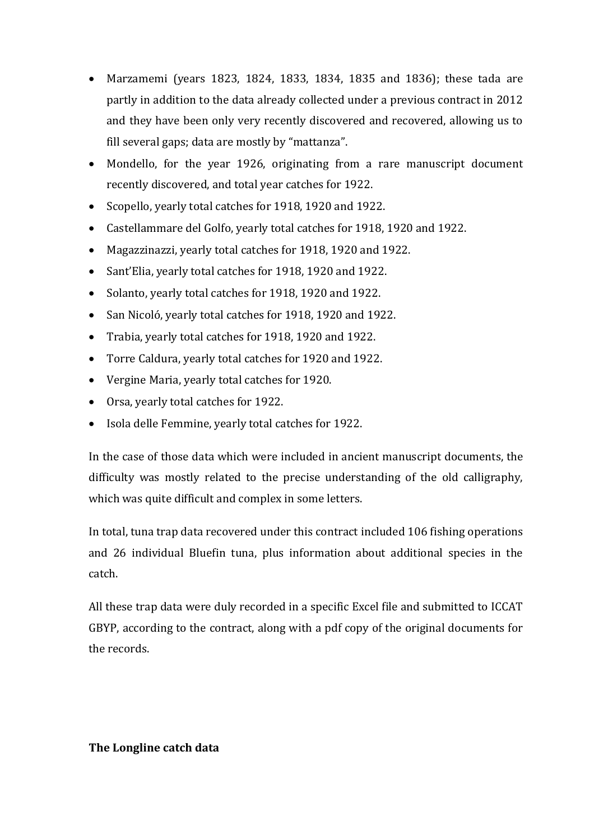- Marzamemi (years 1823, 1824, 1833, 1834, 1835 and 1836); these tada are partly in addition to the data already collected under a previous contract in 2012 and they have been only very recently discovered and recovered, allowing us to fill several gaps; data are mostly by "mattanza".
- Mondello, for the year 1926, originating from a rare manuscript document recently discovered, and total year catches for 1922.
- Scopello, yearly total catches for 1918, 1920 and 1922.
- Castellammare del Golfo, yearly total catches for 1918, 1920 and 1922.
- Magazzinazzi, yearly total catches for 1918, 1920 and 1922.
- Sant'Elia, yearly total catches for 1918, 1920 and 1922.
- Solanto, yearly total catches for 1918, 1920 and 1922.
- San Nicoló, yearly total catches for 1918, 1920 and 1922.
- Trabia, yearly total catches for 1918, 1920 and 1922.
- Torre Caldura, yearly total catches for 1920 and 1922.
- Vergine Maria, yearly total catches for 1920.
- Orsa, yearly total catches for 1922.
- Isola delle Femmine, yearly total catches for 1922.

In the case of those data which were included in ancient manuscript documents, the difficulty was mostly related to the precise understanding of the old calligraphy, which was quite difficult and complex in some letters.

In total, tuna trap data recovered under this contract included 106 fishing operations and 26 individual Bluefin tuna, plus information about additional species in the catch.

All these trap data were duly recorded in a specific Excel file and submitted to ICCAT GBYP, according to the contract, along with a pdf copy of the original documents for the records.

## **The Longline catch data**